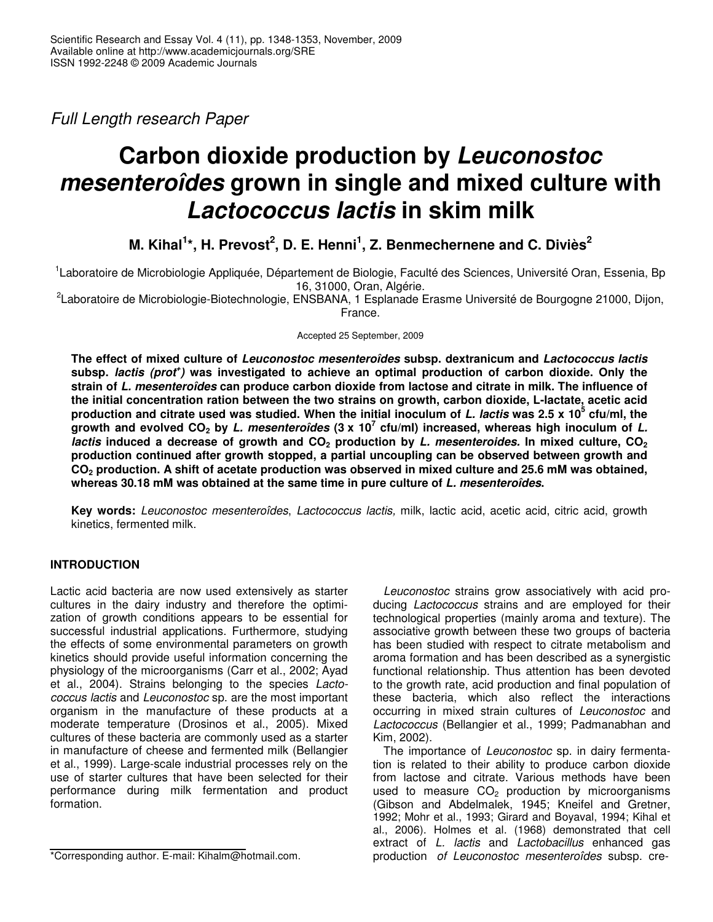*Full Length research Paper*

# **Carbon dioxide production by** *Leuconostoc mesenteroîdes* **grown in single and mixed culture with** *Lactococcus lactis* **in skim milk**

**M. Kihal 1 \*, H. Prevost 2 , D. E. Henni 1 , Z. Benmechernene and C. Diviès 2**

<sup>1</sup>Laboratoire de Microbiologie Appliquée, Département de Biologie, Faculté des Sciences, Université Oran, Essenia, Bp 16, 31000, Oran, Algérie.

<sup>2</sup>Laboratoire de Microbiologie-Biotechnologie, ENSBANA, 1 Esplanade Erasme Université de Bourgogne 21000, Dijon, France.

Accepted 25 September, 2009

**The effect of mixed culture of** *Leuconostoc mesenteroîdes* **subsp. dextranicum and** *Lactococcus lactis* **subsp.** *lactis (prot + )* **was investigated to achieve an optimal production of carbon dioxide. Only the strain of** *L. mesenteroîdes* **can produce carbon dioxide from lactose and citrate in milk. The influence of the initial concentration ration between the two strains on growth, carbon dioxide, L-lactate, acetic acid** production and citrate used was studied. When the initial inoculum of *L. lactis* was 2.5 x 10<sup>5</sup> cfu/ml, the .<br>growth and evolved CO<sub>2</sub> by *L. mesenteroîdes* (3 x 10<sup>7</sup> cfu/ml) increased, whereas high inoculum of *L. lactis* **induced a decrease of growth and CO<sup>2</sup> production by** *L. mesenteroides.* **In mixed culture, CO<sup>2</sup> production continued after growth stopped, a partial uncoupling can be observed between growth and** CO<sub>2</sub> production. A shift of acetate production was observed in mixed culture and 25.6 mM was obtained, **whereas 30.18 mM was obtained at the same time in pure culture of** *L. mesenteroîdes***.**

**Key words:** *Leuconostoc mesenteroîdes*, *Lactococcus lactis,* milk, lactic acid, acetic acid, citric acid, growth kinetics, fermented milk.

# **INTRODUCTION**

Lactic acid bacteria are now used extensively as starter cultures in the dairy industry and therefore the optimization of growth conditions appears to be essential for successful industrial applications. Furthermore, studying the effects of some environmental parameters on growth kinetics should provide useful information concerning the physiology of the microorganisms (Carr et al., 2002; Ayad et al., 2004). Strains belonging to the species *Lactococcus lactis* and *Leuconostoc* sp. are the most important organism in the manufacture of these products at a moderate temperature (Drosinos et al., 2005). Mixed cultures of these bacteria are commonly used as a starter in manufacture of cheese and fermented milk (Bellangier et al., 1999). Large-scale industrial processes rely on the use of starter cultures that have been selected for their performance during milk fermentation and product formation.

*Leuconostoc* strains grow associatively with acid producing *Lactococcus* strains and are employed for their technological properties (mainly aroma and texture). The associative growth between these two groups of bacteria has been studied with respect to citrate metabolism and aroma formation and has been described as a synergistic functional relationship. Thus attention has been devoted to the growth rate, acid production and final population of these bacteria, which also reflect the interactions occurring in mixed strain cultures of *Leuconostoc* and *Lactococcus* (Bellangier et al., 1999; Padmanabhan and Kim, 2002).

The importance of *Leuconostoc* sp. in dairy fermentation is related to their ability to produce carbon dioxide from lactose and citrate. Various methods have been used to measure  $CO<sub>2</sub>$  production by microorganisms (Gibson and Abdelmalek, 1945; Kneifel and Gretner, 1992; Mohr et al., 1993; Girard and Boyaval, 1994; Kihal et al., 2006). Holmes et al. (1968) demonstrated that cell extract of *L. lactis* and *Lactobacillus* enhanced gas production *of Leuconostoc mesenteroîdes* subsp. cre-

<sup>\*</sup>Corresponding author. E-mail: Kihalm@hotmail.com.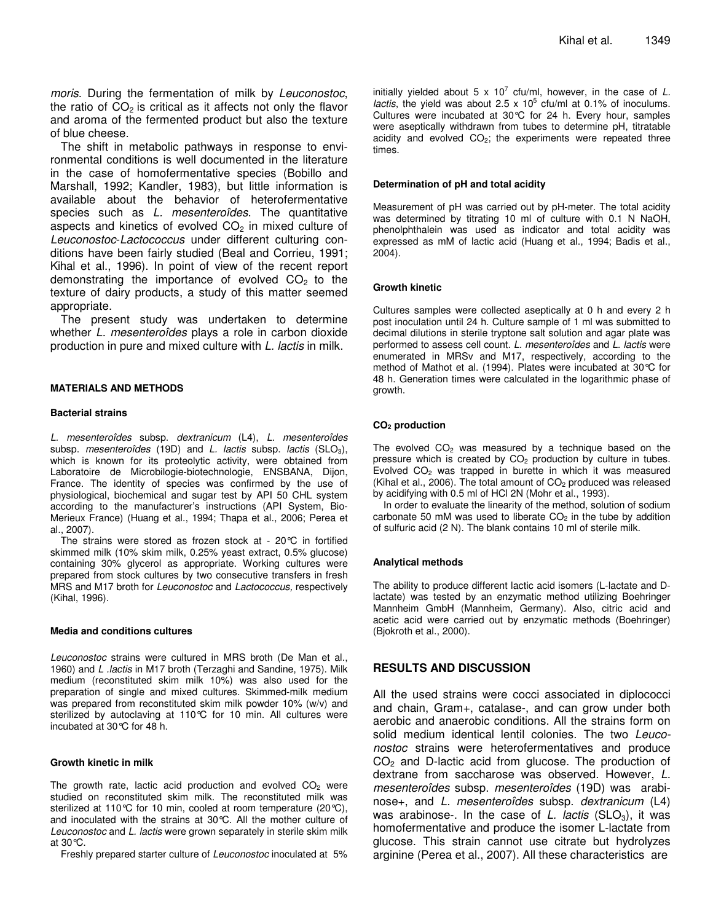*moris*. During the fermentation of milk by *Leuconostoc*, the ratio of  $CO<sub>2</sub>$  is critical as it affects not only the flavor and aroma of the fermented product but also the texture of blue cheese.

The shift in metabolic pathways in response to environmental conditions is well documented in the literature in the case of homofermentative species (Bobillo and Marshall, 1992; Kandler, 1983), but little information is available about the behavior of heterofermentative species such as *L. mesenteroîdes*. The quantitative aspects and kinetics of evolved  $CO<sub>2</sub>$  in mixed culture of *Leuconostoc*-*Lactococcus* under different culturing conditions have been fairly studied (Beal and Corrieu, 1991; Kihal et al., 1996). In point of view of the recent report demonstrating the importance of evolved  $CO<sub>2</sub>$  to the texture of dairy products, a study of this matter seemed appropriate.

The present study was undertaken to determine whether *L. mesenteroîdes* plays a role in carbon dioxide production in pure and mixed culture with *L. lactis* in milk.

#### **MATERIALS AND METHODS**

#### **Bacterial strains**

*L. mesenteroîdes* subsp. *dextranicum* (L4), *L. mesenteroîdes* subsp. *mesenteroîdes* (19D) and *L. lactis* subsp. *lactis* (SLO<sub>3</sub>), which is known for its proteolytic activity, were obtained from Laboratoire de Microbilogie-biotechnologie, ENSBANA, Dijon, France. The identity of species was confirmed by the use of physiological, biochemical and sugar test by API 50 CHL system according to the manufacturer's instructions (API System, Bio-Merieux France) (Huang et al., 1994; Thapa et al., 2006; Perea et al., 2007).

The strains were stored as frozen stock at -  $20^{\circ}C$  in fortified skimmed milk (10% skim milk, 0.25% yeast extract, 0.5% glucose) containing 30% glycerol as appropriate. Working cultures were prepared from stock cultures by two consecutive transfers in fresh MRS and M17 broth for *Leuconostoc* and *Lactococcus,* respectively (Kihal, 1996).

## **Media and conditions cultures**

*Leuconostoc* strains were cultured in MRS broth (De Man et al., 1960) and *L .lactis* in M17 broth (Terzaghi and Sandine, 1975). Milk medium (reconstituted skim milk 10%) was also used for the preparation of single and mixed cultures. Skimmed-milk medium was prepared from reconstituted skim milk powder 10% (w/v) and sterilized by autoclaving at 110°C for 10 min. All cultures were incubated at 30°C for 48 h.

## **Growth kinetic in milk**

The growth rate, lactic acid production and evolved  $CO<sub>2</sub>$  were studied on reconstituted skim milk. The reconstituted milk was sterilized at 110°C for 10 min, cooled at room temperature (20°C), and inoculated with the strains at 30°C. All the mother culture of *Leuconostoc* and *L. lactis* were grown separately in sterile skim milk at 30°C.

Freshly prepared starter culture of *Leuconostoc* inoculated at 5%

initially yielded about 5 x 10 7 cfu/ml, however, in the case of *L. lactis*, the yield was about 2.5  $\times$  10<sup>5</sup> cfu/ml at 0.1% of inoculums. Cultures were incubated at 30°C for 24 h. Every hour, samples were aseptically withdrawn from tubes to determine pH, titratable acidity and evolved  $CO<sub>2</sub>$ ; the experiments were repeated three times.

#### **Determination of pH and total acidity**

Measurement of pH was carried out by pH-meter. The total acidity was determined by titrating 10 ml of culture with 0.1 N NaOH, phenolphthalein was used as indicator and total acidity was expressed as mM of lactic acid (Huang et al., 1994; Badis et al., 2004).

#### **Growth kinetic**

Cultures samples were collected aseptically at 0 h and every 2 h post inoculation until 24 h. Culture sample of 1 ml was submitted to decimal dilutions in sterile tryptone salt solution and agar plate was performed to assess cell count. *L. mesenteroîdes* and *L. lactis* were enumerated in MRSv and M17, respectively, according to the method of Mathot et al. (1994). Plates were incubated at 30°C for 48 h. Generation times were calculated in the logarithmic phase of growth.

#### **CO<sup>2</sup> production**

The evolved  $CO<sub>2</sub>$  was measured by a technique based on the pressure which is created by  $CO<sub>2</sub>$  production by culture in tubes. Evolved  $CO<sub>2</sub>$  was trapped in burette in which it was measured (Kihal et al., 2006). The total amount of  $CO<sub>2</sub>$  produced was released by acidifying with 0.5 ml of HCl 2N (Mohr et al., 1993).

In order to evaluate the linearity of the method, solution of sodium carbonate 50 mM was used to liberate  $CO<sub>2</sub>$  in the tube by addition of sulfuric acid (2 N). The blank contains 10 ml of sterile milk.

#### **Analytical methods**

The ability to produce different lactic acid isomers (L-lactate and Dlactate) was tested by an enzymatic method utilizing Boehringer Mannheim GmbH (Mannheim, Germany). Also, citric acid and acetic acid were carried out by enzymatic methods (Boehringer) (Bjokroth et al., 2000).

# **RESULTS AND DISCUSSION**

All the used strains were cocci associated in diplococci and chain, Gram+, catalase-, and can grow under both aerobic and anaerobic conditions. All the strains form on solid medium identical lentil colonies. The two *Leuconostoc* strains were heterofermentatives and produce  $CO<sub>2</sub>$  and D-lactic acid from glucose. The production of dextrane from saccharose was observed. However, *L. mesenteroîdes* subsp. *mesenteroîdes* (19D) was arabinose+, and *L. mesenteroîdes* subsp. *dextranicum* (L4) was arabinose-. In the case of *L. lactis* (SLO<sub>3</sub>), it was homofermentative and produce the isomer L-lactate from glucose. This strain cannot use citrate but hydrolyzes arginine (Perea et al., 2007). All these characteristics are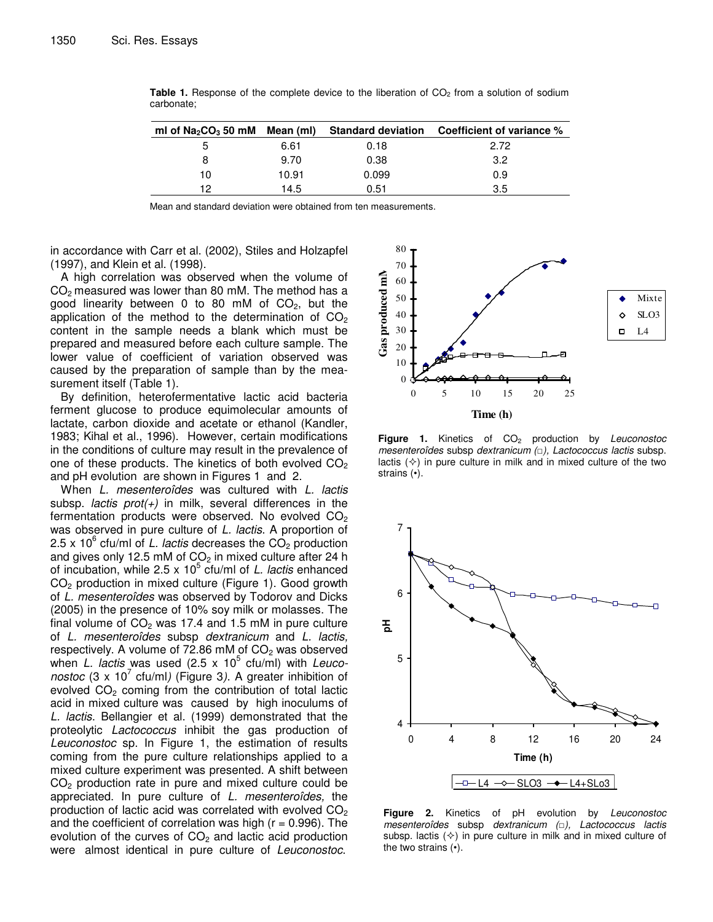| ml of $Na2CO3 50$ mM Mean (ml) |       |       | Standard deviation Coefficient of variance % |
|--------------------------------|-------|-------|----------------------------------------------|
| 5                              | 6.61  | 0.18  | 2.72                                         |
| 8                              | 9.70  | 0.38  | 3.2                                          |
| 10                             | 10.91 | 0.099 | 0.9                                          |
| 12                             | 14.5  | 0.51  | 3.5                                          |

**Table 1.** Response of the complete device to the liberation of CO<sub>2</sub> from a solution of sodium carbonate;

Mean and standard deviation were obtained from ten measurements.

in accordance with Carr et al. (2002), Stiles and Holzapfel (1997), and Klein et al. (1998).

A high correlation was observed when the volume of  $CO<sub>2</sub>$  measured was lower than 80 mM. The method has a good linearity between 0 to 80 mM of  $CO<sub>2</sub>$ , but the application of the method to the determination of  $CO<sub>2</sub>$ content in the sample needs a blank which must be prepared and measured before each culture sample. The lower value of coefficient of variation observed was caused by the preparation of sample than by the measurement itself (Table 1).

By definition, heterofermentative lactic acid bacteria ferment glucose to produce equimolecular amounts of lactate, carbon dioxide and acetate or ethanol (Kandler, 1983; Kihal et al., 1996). However, certain modifications in the conditions of culture may result in the prevalence of one of these products. The kinetics of both evolved  $CO<sub>2</sub>$ and pH evolution are shown in Figures 1 and 2.

When *L. mesenteroîdes* was cultured with *L. lactis* subsp. *lactis prot(+)* in milk, several differences in the fermentation products were observed. No evolved  $CO<sub>2</sub>$ was observed in pure culture of *L. lactis*. A proportion of 2.5 x 10<sup>6</sup> cfu/ml of *L. lactis* decreases the CO<sub>2</sub> production and gives only 12.5 mM of  $CO<sub>2</sub>$  in mixed culture after 24 h of incubation, while 2.5 x 10 5 cfu/ml of *L. lactis* enhanced CO<sup>2</sup> production in mixed culture (Figure 1). Good growth of *L. mesenteroîdes* was observed by Todorov and Dicks (2005) in the presence of 10% soy milk or molasses. The final volume of  $CO<sub>2</sub>$  was 17.4 and 1.5 mM in pure culture of *L. mesenteroîdes* subsp *dextranicum* and *L. lactis,* respectively. A volume of 72.86 mM of  $CO<sub>2</sub>$  was observed when *L. lactis* was used (2.5 x 10 5 cfu/ml) with *Leuconostoc* (3 x 10 7 cfu/ml*)* (Figure 3*)*. A greater inhibition of evolved  $CO<sub>2</sub>$  coming from the contribution of total lactic acid in mixed culture was caused by high inoculums of *L. lactis*. Bellangier et al. (1999) demonstrated that the proteolytic *Lactococcus* inhibit the gas production of *Leuconostoc* sp. In Figure 1, the estimation of results coming from the pure culture relationships applied to a mixed culture experiment was presented. A shift between  $CO<sub>2</sub>$  production rate in pure and mixed culture could be appreciated. In pure culture of *L. mesenteroîdes,* the production of lactic acid was correlated with evolved  $CO<sub>2</sub>$ and the coefficient of correlation was high  $(r = 0.996)$ . The evolution of the curves of  $CO<sub>2</sub>$  and lactic acid production were almost identical in pure culture of *Leuconostoc*.



**Figure 1.** Kinetics of CO<sub>2</sub> production by *Leuconostoc mesenteroîdes* subsp *dextranicum (), Lactococcus lactis* subsp. lactis  $(\diamond)$  in pure culture in milk and in mixed culture of the two strains (•).



**Figure 2.** Kinetics of pH evolution by *Leuconostoc mesenteroîdes* subsp *dextranicum (), Lactococcus lactis* subsp. lactis  $(\diamond)$  in pure culture in milk and in mixed culture of the two strains (•).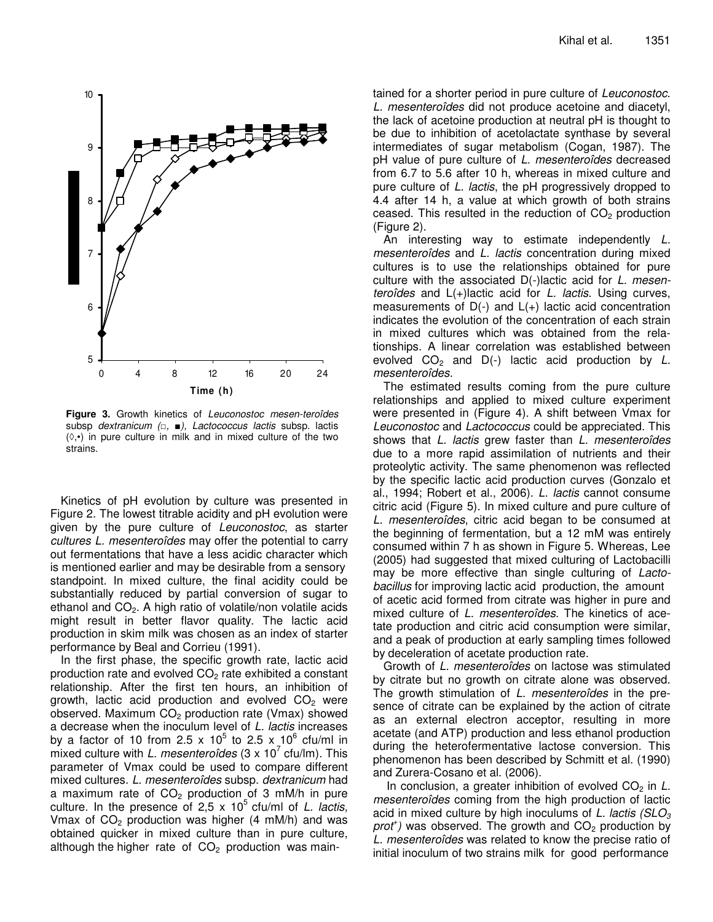

**Figure 3.** Growth kinetics of *Leuconostoc mesen-teroîdes* subsp *dextranicum (,* -*), Lactococcus lactis* subsp. lactis  $(\Diamond, \bullet)$  in pure culture in milk and in mixed culture of the two strains.

Kinetics of pH evolution by culture was presented in Figure 2. The lowest titrable acidity and pH evolution were given by the pure culture of *Leuconostoc*, as starter *cultures L. mesenteroîdes* may offer the potential to carry out fermentations that have a less acidic character which is mentioned earlier and may be desirable from a sensory standpoint. In mixed culture, the final acidity could be substantially reduced by partial conversion of sugar to ethanol and  $CO<sub>2</sub>$ . A high ratio of volatile/non volatile acids might result in better flavor quality. The lactic acid production in skim milk was chosen as an index of starter performance by Beal and Corrieu (1991).

In the first phase, the specific growth rate, lactic acid production rate and evolved  $CO<sub>2</sub>$  rate exhibited a constant relationship. After the first ten hours, an inhibition of growth, lactic acid production and evolved  $CO<sub>2</sub>$  were observed. Maximum  $CO<sub>2</sub>$  production rate (Vmax) showed a decrease when the inoculum level of *L. lactis* increases by a factor of 10 from 2.5 x 10<sup>5</sup> to 2.5 x 10<sup>6</sup> cfu/ml in mixed culture with *L. mesenteroîdes* (3 x 10 7 cfu/lm). This parameter of Vmax could be used to compare different mixed cultures. *L. mesenteroîdes* subsp. *dextranicum* had a maximum rate of  $CO<sub>2</sub>$  production of 3 mM/h in pure culture. In the presence of 2,5 x 10<sup>5</sup> cfu/ml of *L. lactis,* Vmax of  $CO<sub>2</sub>$  production was higher (4 mM/h) and was obtained quicker in mixed culture than in pure culture, although the higher rate of  $CO<sub>2</sub>$  production was main-

tained for a shorter period in pure culture of *Leuconostoc*. *L. mesenteroîdes* did not produce acetoine and diacetyl, the lack of acetoine production at neutral pH is thought to be due to inhibition of acetolactate synthase by several intermediates of sugar metabolism (Cogan, 1987). The pH value of pure culture of *L. mesenteroîdes* decreased from 6.7 to 5.6 after 10 h, whereas in mixed culture and pure culture of *L. lactis*, the pH progressively dropped to 4.4 after 14 h, a value at which growth of both strains ceased. This resulted in the reduction of  $CO<sub>2</sub>$  production (Figure 2).

An interesting way to estimate independently *L. mesenteroîdes* and *L. lactis* concentration during mixed cultures is to use the relationships obtained for pure culture with the associated D(-)lactic acid for *L. mesenteroîdes* and L(+)lactic acid for *L. lactis*. Using curves, measurements of  $D(-)$  and  $L(+)$  lactic acid concentration indicates the evolution of the concentration of each strain in mixed cultures which was obtained from the relationships. A linear correlation was established between evolved  $CO<sub>2</sub>$  and  $D(-)$  lactic acid production by L. *mesenteroîdes.*

The estimated results coming from the pure culture relationships and applied to mixed culture experiment were presented in (Figure 4). A shift between Vmax for *Leuconostoc* and *Lactococcus* could be appreciated. This shows that *L. lactis* grew faster than *L. mesenteroîdes* due to a more rapid assimilation of nutrients and their proteolytic activity. The same phenomenon was reflected by the specific lactic acid production curves (Gonzalo et al., 1994; Robert et al., 2006). *L. lactis* cannot consume citric acid (Figure 5). In mixed culture and pure culture of *L. mesenteroîdes*, citric acid began to be consumed at the beginning of fermentation, but a 12 mM was entirely consumed within 7 h as shown in Figure 5. Whereas, Lee (2005) had suggested that mixed culturing of Lactobacilli may be more effective than single culturing of *Lactobacillus* for improving lactic acid production, the amount of acetic acid formed from citrate was higher in pure and mixed culture of *L. mesenteroîdes*. The kinetics of acetate production and citric acid consumption were similar, and a peak of production at early sampling times followed by deceleration of acetate production rate.

Growth of *L. mesenteroîdes* on lactose was stimulated by citrate but no growth on citrate alone was observed. The growth stimulation of *L. mesenteroîdes* in the presence of citrate can be explained by the action of citrate as an external electron acceptor, resulting in more acetate (and ATP) production and less ethanol production during the heterofermentative lactose conversion. This phenomenon has been described by Schmitt et al. (1990) and Zurera-Cosano et al. (2006).

In conclusion, a greater inhibition of evolved CO<sub>2</sub> in *L*. *mesenteroîdes* coming from the high production of lactic acid in mixed culture by high inoculums of *L. lactis (SLO<sup>3</sup>* prof<sup>+</sup>) was observed. The growth and CO<sub>2</sub> production by *L. mesenteroîdes* was related to know the precise ratio of initial inoculum of two strains milk for good performance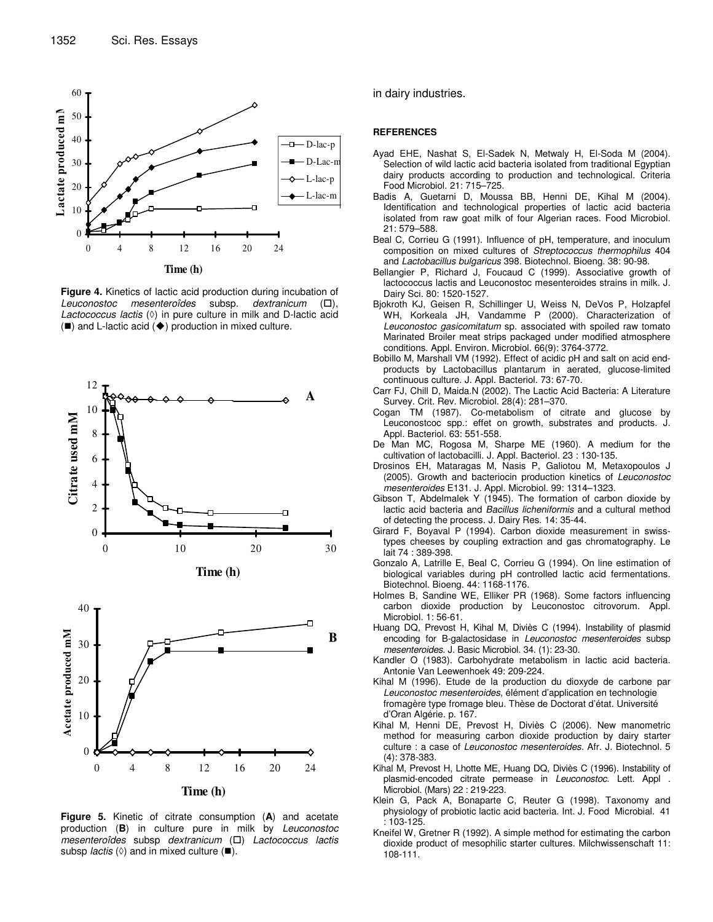

**Figure 4.** Kinetics of lactic acid production during incubation of *Leuconostoc mesenteroîdes* subsp. *dextranicum* (- $( \Box ).$ *Lactococcus lactis* ( $\Diamond$ ) in pure culture in milk and D-lactic acid  $($ ) and L-lactic acid  $($   $\blacklozenge)$  production in mixed culture.





**Figure 5.** Kinetic of citrate consumption (**A**) and acetate production (**B**) in culture pure in milk by *Leuconostoc mesenteroîdes* subsp *dextranicum* (-) *Lactococcus lactis* subsp *lactis*  $(\Diamond)$  and in mixed culture  $(\blacksquare)$ .

in dairy industries.

#### **REFERENCES**

- Ayad EHE, Nashat S, El-Sadek N, Metwaly H, El-Soda M (2004). Selection of wild lactic acid bacteria isolated from traditional Egyptian dairy products according to production and technological. Criteria Food Microbiol. 21: 715–725.
- Badis A, Guetarni D, Moussa BB, Henni DE, Kihal M (2004). Identification and technological properties of lactic acid bacteria isolated from raw goat milk of four Algerian races. Food Microbiol. 21: 579–588.
- Beal C, Corrieu G (1991). Influence of pH, temperature, and inoculum composition on mixed cultures of *Streptococcus thermophilus* 404 and *Lactobacillus bulgaricus* 398. Biotechnol. Bioeng. 38: 90-98.
- Bellangier P, Richard J, Foucaud C (1999). Associative growth of lactococcus lactis and Leuconostoc mesenteroides strains in milk. J. Dairy Sci. 80: 1520-1527.
- Bjokroth KJ, Geisen R, Schillinger U, Weiss N, DeVos P, Holzapfel WH, Korkeala JH, Vandamme P (2000). Characterization of *Leuconostoc gasicomitatum* sp. associated with spoiled raw tomato Marinated Broiler meat strips packaged under modified atmosphere conditions. Appl. Environ. Microbiol. 66(9): 3764-3772.
- Bobillo M, Marshall VM (1992). Effect of acidic pH and salt on acid endproducts by Lactobacillus plantarum in aerated, glucose-limited continuous culture. J. Appl. Bacteriol. 73: 67-70.
- Carr FJ, Chill D, Maida.N (2002). The Lactic Acid Bacteria: A Literature Survey. Crit. Rev. Microbiol. 28(4): 281–370.
- Cogan TM (1987). Co-metabolism of citrate and glucose by Leuconostcoc spp.: effet on growth, substrates and products. J. Appl. Bacteriol. 63: 551-558.
- De Man MC, Rogosa M, Sharpe ME (1960). A medium for the cultivation of lactobacilli. J. Appl. Bacteriol. 23 : 130-135.
- Drosinos EH, Mataragas M, Nasis P, Galiotou M, Metaxopoulos J (2005). Growth and bacteriocin production kinetics of *Leuconostoc mesenteroides* E131. J. Appl. Microbiol. 99: 1314–1323.
- Gibson T, Abdelmalek Y (1945). The formation of carbon dioxide by lactic acid bacteria and *Bacillus licheniformis* and a cultural method of detecting the process. J. Dairy Res. 14: 35-44.
- Girard F, Boyaval P (1994). Carbon dioxide measurement in swisstypes cheeses by coupling extraction and gas chromatography. Le lait 74 : 389-398.
- Gonzalo A, Latrille E, Beal C, Corrieu G (1994). On line estimation of biological variables during pH controlled lactic acid fermentations. Biotechnol. Bioeng. 44: 1168-1176.
- Holmes B, Sandine WE, Elliker PR (1968). Some factors influencing carbon dioxide production by Leuconostoc citrovorum. Appl. Microbiol. 1: 56-61.
- Huang DQ, Prevost H, Kihal M, Diviès C (1994). Instability of plasmid encoding for B-galactosidase in *Leuconostoc mesenteroides* subsp *mesenteroides*. J. Basic Microbiol. 34. (1): 23-30.
- Kandler O (1983). Carbohydrate metabolism in lactic acid bacteria. Antonie Van Leewenhoek 49: 209-224.
- Kihal M (1996). Etude de la production du dioxyde de carbone par *Leuconostoc mesenteroides*, élément d'application en technologie fromagère type fromage bleu. Thèse de Doctorat d'état. Université d'Oran Algérie. p. 167.
- Kihal M, Henni DE, Prevost H, Diviès C (2006). New manometric method for measuring carbon dioxide production by dairy starter culture : a case of *Leuconostoc mesenteroides*. Afr. J. Biotechnol. 5 (4): 378-383.
- Kihal M, Prevost H, Lhotte ME, Huang DQ, Diviès C (1996). Instability of plasmid-encoded citrate permease in *Leuconostoc*. Lett. Appl . Microbiol. (Mars) 22 : 219-223.
- Klein G, Pack A, Bonaparte C, Reuter G (1998). Taxonomy and physiology of probiotic lactic acid bacteria. Int. J. Food Microbial. 41 : 103-125.
- Kneifel W, Gretner R (1992). A simple method for estimating the carbon dioxide product of mesophilic starter cultures. Milchwissenschaft 11: 108-111.